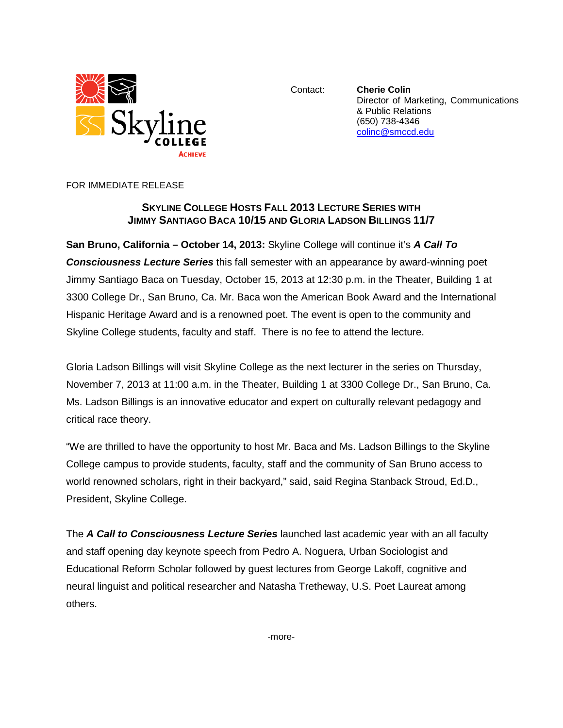

Contact: **Cherie Colin** Director of Marketing, Communications & Public Relations (650) 738-4346 [colinc@smccd.edu](mailto:colinc@smccd.edu)

FOR IMMEDIATE RELEASE

## **SKYLINE COLLEGE HOSTS FALL 2013 LECTURE SERIES WITH JIMMY SANTIAGO BACA 10/15 AND GLORIA LADSON BILLINGS 11/7**

**San Bruno, California – October 14, 2013:** Skyline College will continue it's *A Call To Consciousness Lecture Series* this fall semester with an appearance by award-winning poet Jimmy Santiago Baca on Tuesday, October 15, 2013 at 12:30 p.m. in the Theater, Building 1 at 3300 College Dr., San Bruno, Ca. Mr. Baca won the American Book Award and the International Hispanic Heritage Award and is a renowned poet. The event is open to the community and Skyline College students, faculty and staff. There is no fee to attend the lecture.

Gloria Ladson Billings will visit Skyline College as the next lecturer in the series on Thursday, November 7, 2013 at 11:00 a.m. in the Theater, Building 1 at 3300 College Dr., San Bruno, Ca. Ms. Ladson Billings is an innovative educator and expert on culturally relevant pedagogy and critical race theory.

"We are thrilled to have the opportunity to host Mr. Baca and Ms. Ladson Billings to the Skyline College campus to provide students, faculty, staff and the community of San Bruno access to world renowned scholars, right in their backyard," said, said Regina Stanback Stroud, Ed.D., President, Skyline College.

The *A Call to Consciousness Lecture Series* launched last academic year with an all faculty and staff opening day keynote speech from Pedro A. Noguera, Urban Sociologist and Educational Reform Scholar followed by guest lectures from George Lakoff, cognitive and neural linguist and political researcher and Natasha Tretheway, U.S. Poet Laureat among others.

-more-